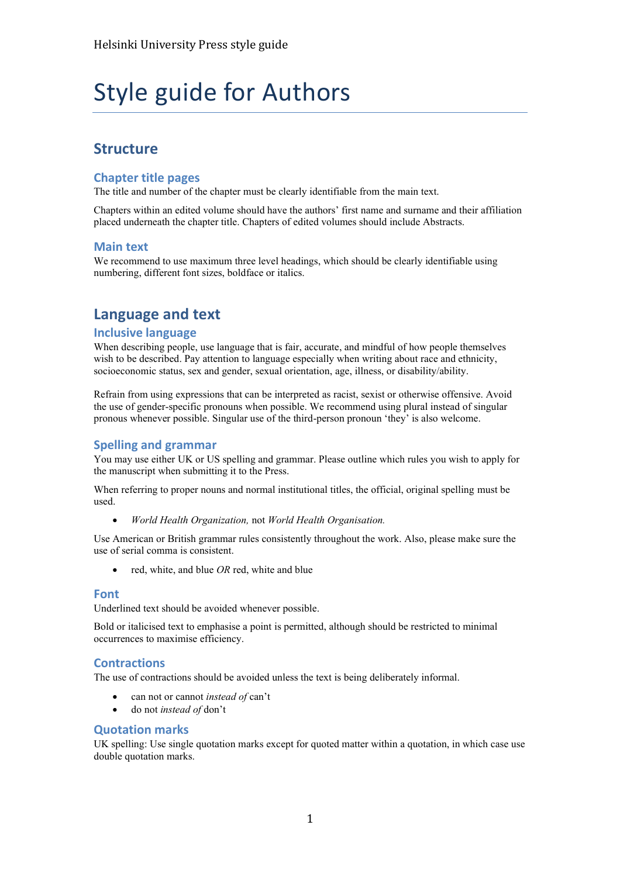# Style guide for Authors

## **Structure**

## **Chapter title pages**

The title and number of the chapter must be clearly identifiable from the main text.

Chapters within an edited volume should have the authors' first name and surname and their affiliation placed underneath the chapter title. Chapters of edited volumes should include Abstracts.

#### **Main text**

We recommend to use maximum three level headings, which should be clearly identifiable using numbering, different font sizes, boldface or italics.

# **Language and text**

## **Inclusive language**

When describing people, use language that is fair, accurate, and mindful of how people themselves wish to be described. Pay attention to language especially when writing about race and ethnicity, socioeconomic status, sex and gender, sexual orientation, age, illness, or disability/ability.

Refrain from using expressions that can be interpreted as racist, sexist or otherwise offensive. Avoid the use of gender-specific pronouns when possible. We recommend using plural instead of singular pronous whenever possible. Singular use of the third-person pronoun 'they' is also welcome.

## **Spelling and grammar**

You may use either UK or US spelling and grammar. Please outline which rules you wish to apply for the manuscript when submitting it to the Press.

When referring to proper nouns and normal institutional titles, the official, original spelling must be used.

• *World Health Organization,* not *World Health Organisation.*

Use American or British grammar rules consistently throughout the work. Also, please make sure the use of serial comma is consistent.

• red, white, and blue *OR* red, white and blue

#### **Font**

Underlined text should be avoided whenever possible.

Bold or italicised text to emphasise a point is permitted, although should be restricted to minimal occurrences to maximise efficiency.

## **Contractions**

The use of contractions should be avoided unless the text is being deliberately informal.

- can not or cannot *instead of* can't
- do not *instead of* don't

#### **Quotation marks**

UK spelling: Use single quotation marks except for quoted matter within a quotation, in which case use double quotation marks.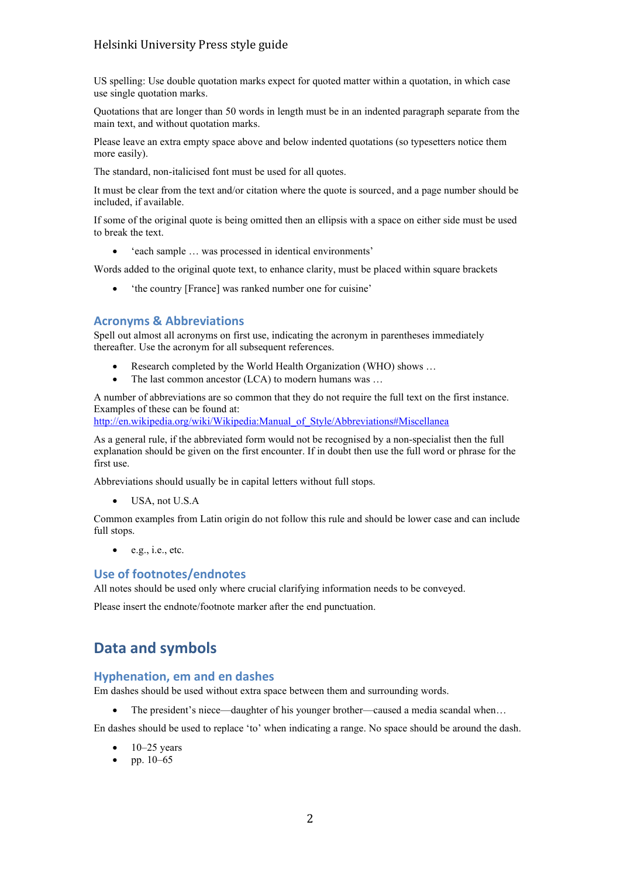## Helsinki University Press style guide

US spelling: Use double quotation marks expect for quoted matter within a quotation, in which case use single quotation marks.

Quotations that are longer than 50 words in length must be in an indented paragraph separate from the main text, and without quotation marks.

Please leave an extra empty space above and below indented quotations (so typesetters notice them more easily).

The standard, non-italicised font must be used for all quotes.

It must be clear from the text and/or citation where the quote is sourced, and a page number should be included, if available.

If some of the original quote is being omitted then an ellipsis with a space on either side must be used to break the text.

• 'each sample … was processed in identical environments'

Words added to the original quote text, to enhance clarity, must be placed within square brackets

• 'the country [France] was ranked number one for cuisine'

## **Acronyms & Abbreviations**

Spell out almost all acronyms on first use, indicating the acronym in parentheses immediately thereafter. Use the acronym for all subsequent references.

- Research completed by the World Health Organization (WHO) shows ...
- The last common ancestor (LCA) to modern humans was ...

A number of abbreviations are so common that they do not require the full text on the first instance. Examples of these can be found at:

[http://en.wikipedia.org/wiki/Wikipedia:Manual\\_of\\_Style/Abbreviations#Miscellanea](http://en.wikipedia.org/wiki/Wikipedia:Manual_of_Style/Abbreviations#Miscellanea)

As a general rule, if the abbreviated form would not be recognised by a non-specialist then the full explanation should be given on the first encounter. If in doubt then use the full word or phrase for the first use.

Abbreviations should usually be in capital letters without full stops.

• USA, not U.S.A

Common examples from Latin origin do not follow this rule and should be lower case and can include full stops.

 $\bullet$  e.g., i.e., etc.

## **Use of footnotes/endnotes**

All notes should be used only where crucial clarifying information needs to be conveyed.

Please insert the endnote/footnote marker after the end punctuation.

# **Data and symbols**

#### **Hyphenation, em and en dashes**

Em dashes should be used without extra space between them and surrounding words.

The president's niece—daughter of his younger brother—caused a media scandal when...

En dashes should be used to replace 'to' when indicating a range. No space should be around the dash.

- $\bullet$  10–25 years
- pp.  $10-65$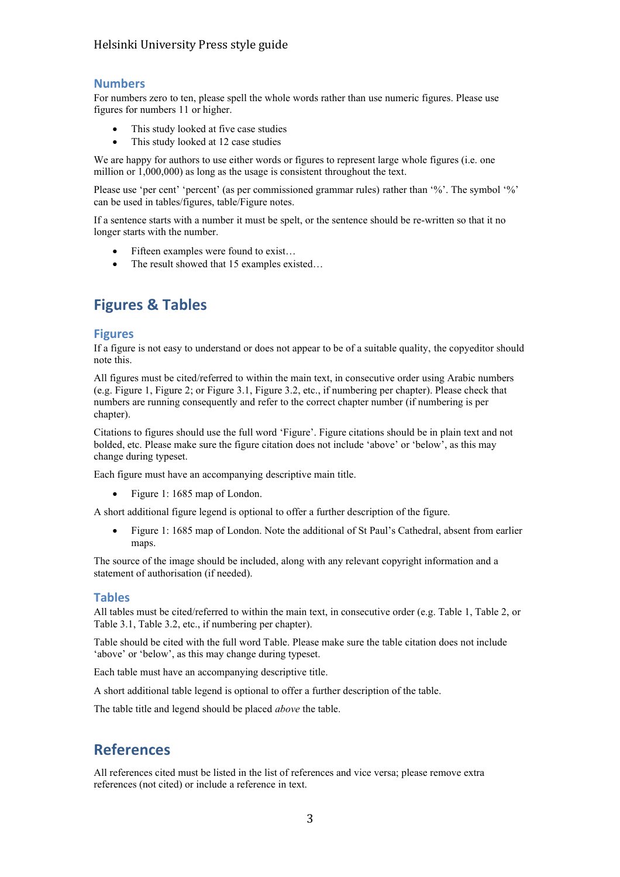## Helsinki University Press style guide

## **Numbers**

For numbers zero to ten, please spell the whole words rather than use numeric figures. Please use figures for numbers 11 or higher.

- This study looked at five case studies
- This study looked at 12 case studies

We are happy for authors to use either words or figures to represent large whole figures (i.e. one million or 1,000,000) as long as the usage is consistent throughout the text.

Please use 'per cent' 'percent' (as per commissioned grammar rules) rather than '%'. The symbol '%' can be used in tables/figures, table/Figure notes.

If a sentence starts with a number it must be spelt, or the sentence should be re-written so that it no longer starts with the number.

- Fifteen examples were found to exist...
- The result showed that 15 examples existed...

# **Figures & Tables**

#### **Figures**

If a figure is not easy to understand or does not appear to be of a suitable quality, the copyeditor should note this.

All figures must be cited/referred to within the main text, in consecutive order using Arabic numbers (e.g. Figure 1, Figure 2; or Figure 3.1, Figure 3.2, etc., if numbering per chapter). Please check that numbers are running consequently and refer to the correct chapter number (if numbering is per chapter).

Citations to figures should use the full word 'Figure'. Figure citations should be in plain text and not bolded, etc. Please make sure the figure citation does not include 'above' or 'below', as this may change during typeset.

Each figure must have an accompanying descriptive main title.

• Figure 1: 1685 map of London.

A short additional figure legend is optional to offer a further description of the figure.

• Figure 1: 1685 map of London. Note the additional of St Paul's Cathedral, absent from earlier maps.

The source of the image should be included, along with any relevant copyright information and a statement of authorisation (if needed).

## **Tables**

All tables must be cited/referred to within the main text, in consecutive order (e.g. Table 1, Table 2, or Table 3.1, Table 3.2, etc., if numbering per chapter).

Table should be cited with the full word Table. Please make sure the table citation does not include 'above' or 'below', as this may change during typeset.

Each table must have an accompanying descriptive title.

A short additional table legend is optional to offer a further description of the table.

The table title and legend should be placed *above* the table.

# **References**

All references cited must be listed in the list of references and vice versa; please remove extra references (not cited) or include a reference in text.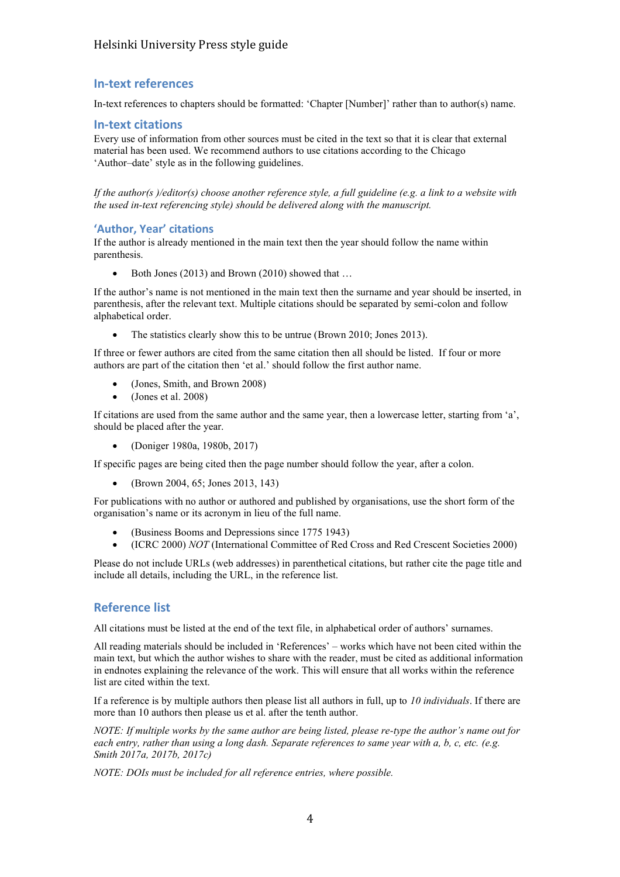## **In-text references**

In-text references to chapters should be formatted: 'Chapter [Number]' rather than to author(s) name.

## **In-text citations**

Every use of information from other sources must be cited in the text so that it is clear that external material has been used. We recommend authors to use citations according to the Chicago 'Author–date' style as in the following guidelines.

*If the author(s )/editor(s) choose another reference style, a full guideline (e.g. a link to a website with the used in-text referencing style) should be delivered along with the manuscript.* 

## **'Author, Year' citations**

If the author is already mentioned in the main text then the year should follow the name within parenthesis.

Both Jones (2013) and Brown (2010) showed that ...

If the author's name is not mentioned in the main text then the surname and year should be inserted, in parenthesis, after the relevant text. Multiple citations should be separated by semi-colon and follow alphabetical order.

The statistics clearly show this to be untrue (Brown 2010; Jones 2013).

If three or fewer authors are cited from the same citation then all should be listed. If four or more authors are part of the citation then 'et al.' should follow the first author name.

- (Jones, Smith, and Brown 2008)
- (Jones et al. 2008)

If citations are used from the same author and the same year, then a lowercase letter, starting from 'a', should be placed after the year.

• (Doniger 1980a, 1980b, 2017)

If specific pages are being cited then the page number should follow the year, after a colon.

• (Brown 2004, 65; Jones 2013, 143)

For publications with no author or authored and published by organisations, use the short form of the organisation's name or its acronym in lieu of the full name.

- (Business Booms and Depressions since 1775 1943)
- (ICRC 2000) *NOT* (International Committee of Red Cross and Red Crescent Societies 2000)

Please do not include URLs (web addresses) in parenthetical citations, but rather cite the page title and include all details, including the URL, in the reference list.

## **Reference list**

All citations must be listed at the end of the text file, in alphabetical order of authors' surnames.

All reading materials should be included in 'References' – works which have not been cited within the main text, but which the author wishes to share with the reader, must be cited as additional information in endnotes explaining the relevance of the work. This will ensure that all works within the reference list are cited within the text.

If a reference is by multiple authors then please list all authors in full, up to *10 individuals*. If there are more than 10 authors then please us et al. after the tenth author.

*NOTE: If multiple works by the same author are being listed, please re-type the author's name out for each entry, rather than using a long dash. Separate references to same year with a, b, c, etc. (e.g. Smith 2017a, 2017b, 2017c)*

*NOTE: DOIs must be included for all reference entries, where possible.*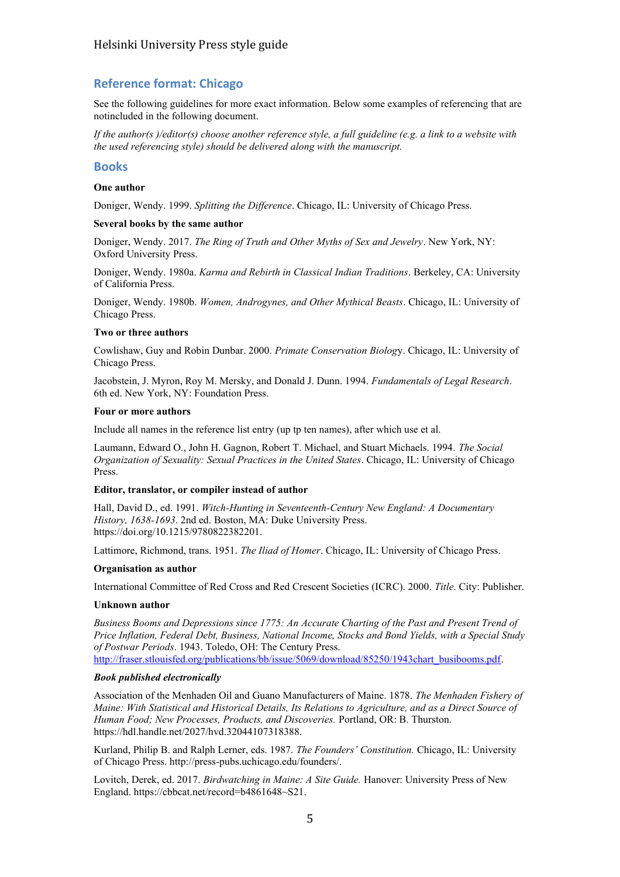## **Reference format: Chicago**

See the following guidelines for more exact information. Below some examples of referencing that are notincluded in the following document.

*If the author(s )/editor(s) choose another reference style, a full guideline (e.g. a link to a website with the used referencing style) should be delivered along with the manuscript.* 

#### **Books**

#### **One author**

Doniger, Wendy. 1999. *Splitting the Difference*. Chicago, IL: University of Chicago Press.

#### **Several books by the same author**

Doniger, Wendy. 2017. *The Ring of Truth and Other Myths of Sex and Jewelry*. New York, NY: Oxford University Press.

Doniger, Wendy. 1980a. *Karma and Rebirth in Classical Indian Traditions*. Berkeley, CA: University of California Press.

Doniger, Wendy. 1980b. *Women, Androgynes, and Other Mythical Beasts*. Chicago, IL: University of Chicago Press.

#### **Two or three authors**

Cowlishaw, Guy and Robin Dunbar. 2000. *Primate Conservation Biolog*y. Chicago, IL: University of Chicago Press.

Jacobstein, J. Myron, Roy M. Mersky, and Donald J. Dunn. 1994. *Fundamentals of Legal Research*. 6th ed. New York, NY: Foundation Press.

#### **Four or more authors**

Include all names in the reference list entry (up tp ten names), after which use et al.

Laumann, Edward O., John H. Gagnon, Robert T. Michael, and Stuart Michaels. 1994*. The Social Organization of Sexuality: Sexual Practices in the United States*. Chicago, IL: University of Chicago Press.

#### **Editor, translator, or compiler instead of author**

Hall, David D., ed. 1991. *Witch-Hunting in Seventeenth-Century New England: A Documentary History, 1638-1693*. 2nd ed. Boston, MA: Duke University Press. https://doi.org/10.1215/9780822382201.

Lattimore, Richmond, trans. 1951. *The Iliad of Homer*. Chicago, IL: University of Chicago Press.

#### **Organisation as author**

International Committee of Red Cross and Red Crescent Societies (ICRC). 2000. *Title*. City: Publisher.

#### **Unknown author**

*Business Booms and Depressions since 1775: An Accurate Charting of the Past and Present Trend of Price Inflation, Federal Debt, Business, National Income, Stocks and Bond Yields, with a Special Study of Postwar Periods*. 1943. Toledo, OH: The Century Press. [http://fraser.stlouisfed.org/publications/bb/issue/5069/download/85250/1943chart\\_busibooms.pdf.](http://fraser.stlouisfed.org/publications/bb/issue/5069/download/85250/1943chart_busibooms.pdf)

#### *Book published electronically*

Association of the Menhaden Oil and Guano Manufacturers of Maine. 1878. *The Menhaden Fishery of Maine: With Statistical and Historical Details, Its Relations to Agriculture, and as a Direct Source of Human Food; New Processes, Products, and Discoveries.* Portland, OR: B. Thurston. https://hdl.handle.net/2027/hvd.32044107318388.

Kurland, Philip B. and Ralph Lerner, eds. 1987. *The Founders' Constitution.* Chicago, IL: University of Chicago Press. http://press-pubs.uchicago.edu/founders/.

Lovitch, Derek, ed. 2017. *Birdwatching in Maine: A Site Guide.* Hanover: University Press of New England. https://cbbcat.net/record=b4861648~S21.